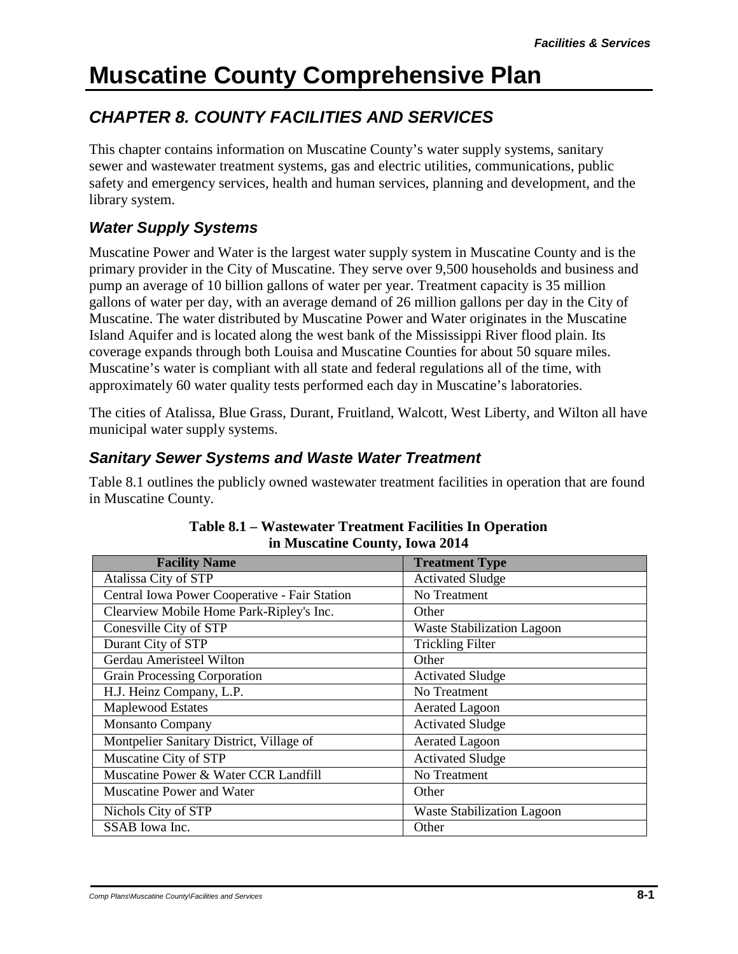## *CHAPTER 8. COUNTY FACILITIES AND SERVICES*

This chapter contains information on Muscatine County's water supply systems, sanitary sewer and wastewater treatment systems, gas and electric utilities, communications, public safety and emergency services, health and human services, planning and development, and the library system.

### *Water Supply Systems*

Muscatine Power and Water is the largest water supply system in Muscatine County and is the primary provider in the City of Muscatine. They serve over 9,500 households and business and pump an average of 10 billion gallons of water per year. Treatment capacity is 35 million gallons of water per day, with an average demand of 26 million gallons per day in the City of Muscatine. The water distributed by Muscatine Power and Water originates in the Muscatine Island Aquifer and is located along the west bank of the Mississippi River flood plain. Its coverage expands through both Louisa and Muscatine Counties for about 50 square miles. Muscatine's water is compliant with all state and federal regulations all of the time, with approximately 60 water quality tests performed each day in Muscatine's laboratories.

The cities of Atalissa, Blue Grass, Durant, Fruitland, Walcott, West Liberty, and Wilton all have municipal water supply systems.

#### *Sanitary Sewer Systems and Waste Water Treatment*

Table 8.1 outlines the publicly owned wastewater treatment facilities in operation that are found in Muscatine County.

| <b>Facility Name</b>                          | <b>Treatment Type</b>             |
|-----------------------------------------------|-----------------------------------|
| Atalissa City of STP                          | <b>Activated Sludge</b>           |
| Central Iowa Power Cooperative - Fair Station | No Treatment                      |
| Clearview Mobile Home Park-Ripley's Inc.      | Other                             |
| Conesville City of STP                        | <b>Waste Stabilization Lagoon</b> |
| Durant City of STP                            | <b>Trickling Filter</b>           |
| Gerdau Ameristeel Wilton                      | Other                             |
| Grain Processing Corporation                  | <b>Activated Sludge</b>           |
| H.J. Heinz Company, L.P.                      | No Treatment                      |
| Maplewood Estates                             | <b>Aerated Lagoon</b>             |
| <b>Monsanto Company</b>                       | <b>Activated Sludge</b>           |
| Montpelier Sanitary District, Village of      | <b>Aerated Lagoon</b>             |
| Muscatine City of STP                         | <b>Activated Sludge</b>           |
| Muscatine Power & Water CCR Landfill          | No Treatment                      |
| Muscatine Power and Water                     | Other                             |
| Nichols City of STP                           | <b>Waste Stabilization Lagoon</b> |
| SSAB Iowa Inc.                                | Other                             |

#### **Table 8.1 – Wastewater Treatment Facilities In Operation in Muscatine County, Iowa 2014**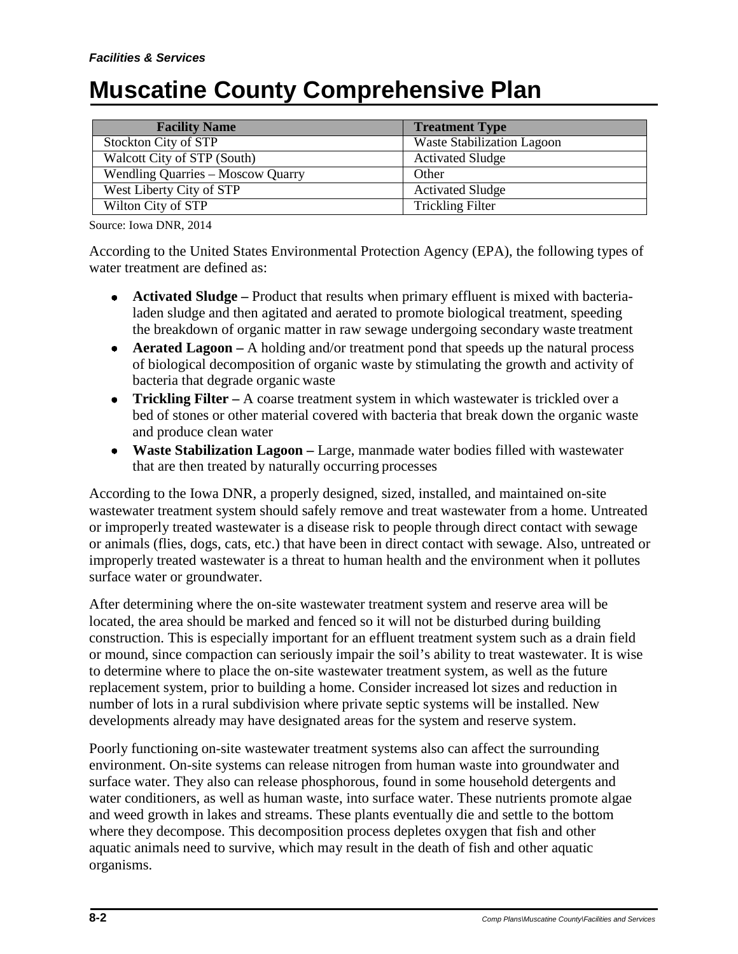| <b>Facility Name</b>                     | <b>Treatment Type</b>             |
|------------------------------------------|-----------------------------------|
| Stockton City of STP                     | <b>Waste Stabilization Lagoon</b> |
| Walcott City of STP (South)              | <b>Activated Sludge</b>           |
| <b>Wendling Quarries - Moscow Quarry</b> | Other                             |
| West Liberty City of STP                 | <b>Activated Sludge</b>           |
| Wilton City of STP                       | <b>Trickling Filter</b>           |

Source: Iowa DNR, 2014

According to the United States Environmental Protection Agency (EPA), the following types of water treatment are defined as:

- **Activated Sludge –** Product that results when primary effluent is mixed with bacterialaden sludge and then agitated and aerated to promote biological treatment, speeding the breakdown of organic matter in raw sewage undergoing secondary waste treatment
- **Aerated Lagoon** A holding and/or treatment pond that speeds up the natural process of biological decomposition of organic waste by stimulating the growth and activity of bacteria that degrade organic waste
- **Trickling Filter** A coarse treatment system in which wastewater is trickled over a bed of stones or other material covered with bacteria that break down the organic waste and produce clean water
- **Waste Stabilization Lagoon –** Large, manmade water bodies filled with wastewater that are then treated by naturally occurring processes

According to the Iowa DNR, a properly designed, sized, installed, and maintained on-site wastewater treatment system should safely remove and treat wastewater from a home. Untreated or improperly treated wastewater is a disease risk to people through direct contact with sewage or animals (flies, dogs, cats, etc.) that have been in direct contact with sewage. Also, untreated or improperly treated wastewater is a threat to human health and the environment when it pollutes surface water or groundwater.

After determining where the on-site wastewater treatment system and reserve area will be located, the area should be marked and fenced so it will not be disturbed during building construction. This is especially important for an effluent treatment system such as a drain field or mound, since compaction can seriously impair the soil's ability to treat wastewater. It is wise to determine where to place the on-site wastewater treatment system, as well as the future replacement system, prior to building a home. Consider increased lot sizes and reduction in number of lots in a rural subdivision where private septic systems will be installed. New developments already may have designated areas for the system and reserve system.

Poorly functioning on-site wastewater treatment systems also can affect the surrounding environment. On-site systems can release nitrogen from human waste into groundwater and surface water. They also can release phosphorous, found in some household detergents and water conditioners, as well as human waste, into surface water. These nutrients promote algae and weed growth in lakes and streams. These plants eventually die and settle to the bottom where they decompose. This decomposition process depletes oxygen that fish and other aquatic animals need to survive, which may result in the death of fish and other aquatic organisms.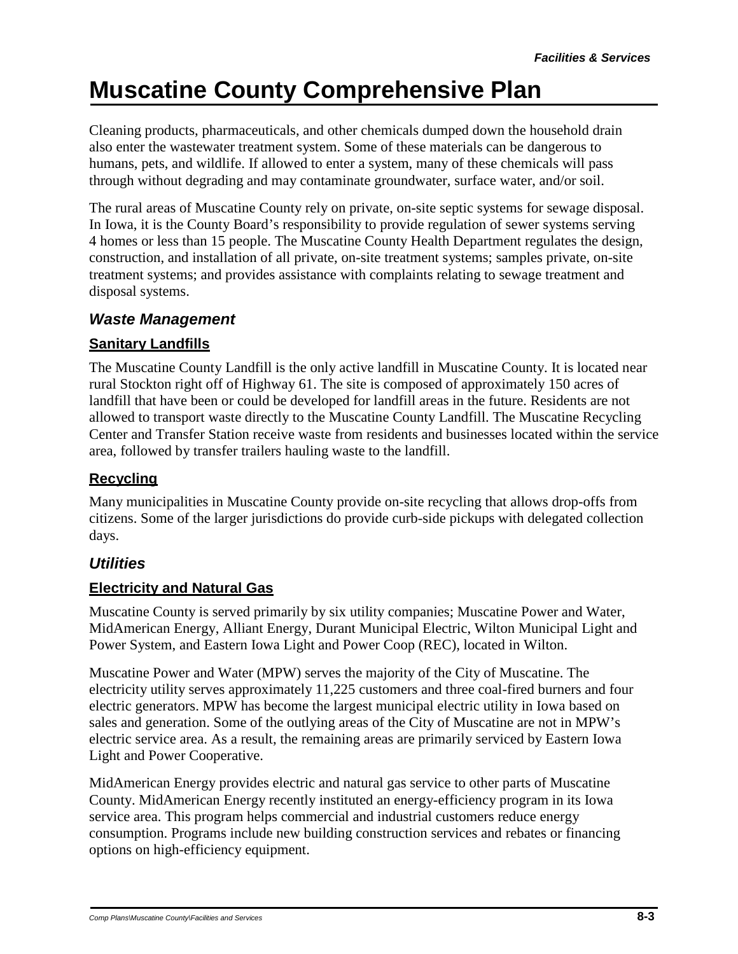Cleaning products, pharmaceuticals, and other chemicals dumped down the household drain also enter the wastewater treatment system. Some of these materials can be dangerous to humans, pets, and wildlife. If allowed to enter a system, many of these chemicals will pass through without degrading and may contaminate groundwater, surface water, and/or soil.

The rural areas of Muscatine County rely on private, on-site septic systems for sewage disposal. In Iowa, it is the County Board's responsibility to provide regulation of sewer systems serving 4 homes or less than 15 people. The Muscatine County Health Department regulates the design, construction, and installation of all private, on-site treatment systems; samples private, on-site treatment systems; and provides assistance with complaints relating to sewage treatment and disposal systems.

#### *Waste Management*

#### **Sanitary Landfills**

The Muscatine County Landfill is the only active landfill in Muscatine County. It is located near rural Stockton right off of Highway 61. The site is composed of approximately 150 acres of landfill that have been or could be developed for landfill areas in the future. Residents are not allowed to transport waste directly to the Muscatine County Landfill. The Muscatine Recycling Center and Transfer Station receive waste from residents and businesses located within the service area, followed by transfer trailers hauling waste to the landfill.

#### **Recycling**

Many municipalities in Muscatine County provide on-site recycling that allows drop-offs from citizens. Some of the larger jurisdictions do provide curb-side pickups with delegated collection days.

### *Utilities*

#### **Electricity and Natural Gas**

Muscatine County is served primarily by six utility companies; Muscatine Power and Water, MidAmerican Energy, Alliant Energy, Durant Municipal Electric, Wilton Municipal Light and Power System, and Eastern Iowa Light and Power Coop (REC), located in Wilton.

Muscatine Power and Water (MPW) serves the majority of the City of Muscatine. The electricity utility serves approximately 11,225 customers and three coal-fired burners and four electric generators. MPW has become the largest municipal electric utility in Iowa based on sales and generation. Some of the outlying areas of the City of Muscatine are not in MPW's electric service area. As a result, the remaining areas are primarily serviced by Eastern Iowa Light and Power Cooperative.

MidAmerican Energy provides electric and natural gas service to other parts of Muscatine County. MidAmerican Energy recently instituted an energy-efficiency program in its Iowa service area. This program helps commercial and industrial customers reduce energy consumption. Programs include new building construction services and rebates or financing options on high-efficiency equipment.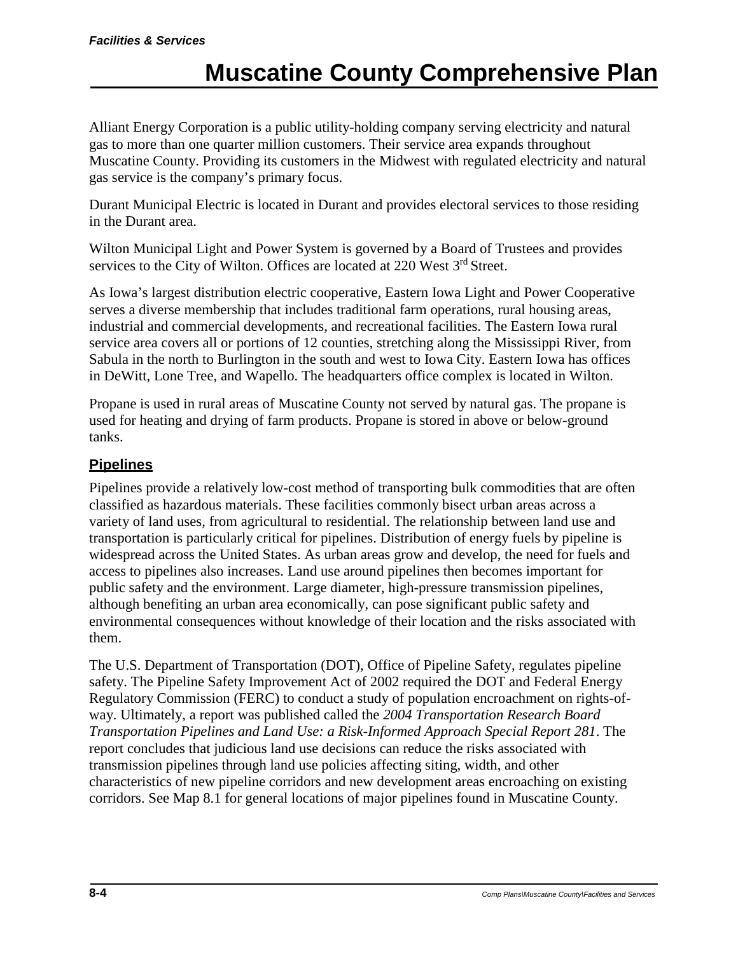Alliant Energy Corporation is a public utility-holding company serving electricity and natural gas to more than one quarter million customers. Their service area expands throughout Muscatine County. Providing its customers in the Midwest with regulated electricity and natural gas service is the company's primary focus.

Durant Municipal Electric is located in Durant and provides electoral services to those residing in the Durant area.

Wilton Municipal Light and Power System is governed by a Board of Trustees and provides services to the City of Wilton. Offices are located at 220 West 3<sup>rd</sup> Street.

As Iowa's largest distribution electric cooperative, Eastern Iowa Light and Power Cooperative serves a diverse membership that includes traditional farm operations, rural housing areas, industrial and commercial developments, and recreational facilities. The Eastern Iowa rural service area covers all or portions of 12 counties, stretching along the Mississippi River, from Sabula in the north to Burlington in the south and west to Iowa City. Eastern Iowa has offices in DeWitt, Lone Tree, and Wapello. The headquarters office complex is located in Wilton.

Propane is used in rural areas of Muscatine County not served by natural gas. The propane is used for heating and drying of farm products. Propane is stored in above or below-ground tanks.

#### **Pipelines**

Pipelines provide a relatively low-cost method of transporting bulk commodities that are often classified as hazardous materials. These facilities commonly bisect urban areas across a variety of land uses, from agricultural to residential. The relationship between land use and transportation is particularly critical for pipelines. Distribution of energy fuels by pipeline is widespread across the United States. As urban areas grow and develop, the need for fuels and access to pipelines also increases. Land use around pipelines then becomes important for public safety and the environment. Large diameter, high-pressure transmission pipelines, although benefiting an urban area economically, can pose significant public safety and environmental consequences without knowledge of their location and the risks associated with them.

The U.S. Department of Transportation (DOT), Office of Pipeline Safety, regulates pipeline safety. The Pipeline Safety Improvement Act of 2002 required the DOT and Federal Energy Regulatory Commission (FERC) to conduct a study of population encroachment on rights-ofway. Ultimately, a report was published called the *2004 Transportation Research Board Transportation Pipelines and Land Use: a Risk-Informed Approach Special Report 281*. The report concludes that judicious land use decisions can reduce the risks associated with transmission pipelines through land use policies affecting siting, width, and other characteristics of new pipeline corridors and new development areas encroaching on existing corridors. See Map 8.1 for general locations of major pipelines found in Muscatine County.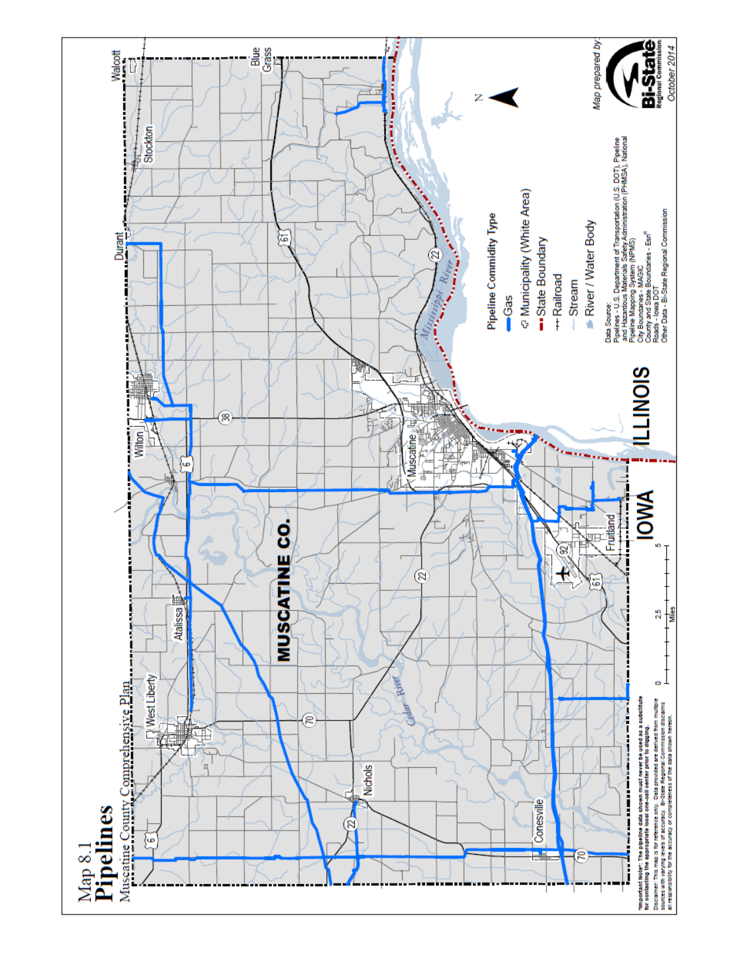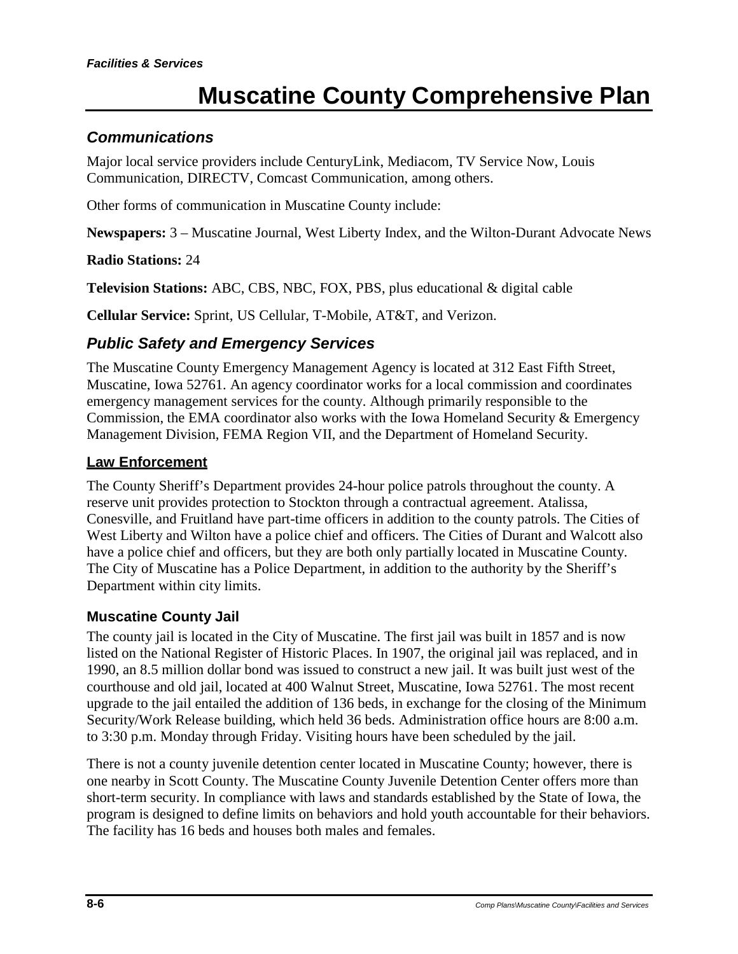### *Communications*

Major local service providers include CenturyLink, Mediacom, TV Service Now, Louis Communication, DIRECTV, Comcast Communication, among others.

Other forms of communication in Muscatine County include:

**Newspapers:** 3 – Muscatine Journal, West Liberty Index, and the Wilton-Durant Advocate News

#### **Radio Stations:** 24

**Television Stations:** ABC, CBS, NBC, FOX, PBS, plus educational & digital cable

**Cellular Service:** Sprint, US Cellular, T-Mobile, AT&T, and Verizon.

### *Public Safety and Emergency Services*

The Muscatine County Emergency Management Agency is located at 312 East Fifth Street, Muscatine, Iowa 52761. An agency coordinator works for a local commission and coordinates emergency management services for the county. Although primarily responsible to the Commission, the EMA coordinator also works with the Iowa Homeland Security & Emergency Management Division, FEMA Region VII, and the Department of Homeland Security.

#### **Law Enforcement**

The County Sheriff's Department provides 24-hour police patrols throughout the county. A reserve unit provides protection to Stockton through a contractual agreement. Atalissa, Conesville, and Fruitland have part-time officers in addition to the county patrols. The Cities of West Liberty and Wilton have a police chief and officers. The Cities of Durant and Walcott also have a police chief and officers, but they are both only partially located in Muscatine County. The City of Muscatine has a Police Department, in addition to the authority by the Sheriff's Department within city limits.

#### **Muscatine County Jail**

The county jail is located in the City of Muscatine. The first jail was built in 1857 and is now listed on the National Register of Historic Places. In 1907, the original jail was replaced, and in 1990, an 8.5 million dollar bond was issued to construct a new jail. It was built just west of the courthouse and old jail, located at 400 Walnut Street, Muscatine, Iowa 52761. The most recent upgrade to the jail entailed the addition of 136 beds, in exchange for the closing of the Minimum Security/Work Release building, which held 36 beds. Administration office hours are 8:00 a.m. to 3:30 p.m. Monday through Friday. Visiting hours have been scheduled by the jail.

There is not a county juvenile detention center located in Muscatine County; however, there is one nearby in Scott County. The Muscatine County Juvenile Detention Center offers more than short-term security. In compliance with laws and standards established by the State of Iowa, the program is designed to define limits on behaviors and hold youth accountable for their behaviors. The facility has 16 beds and houses both males and females.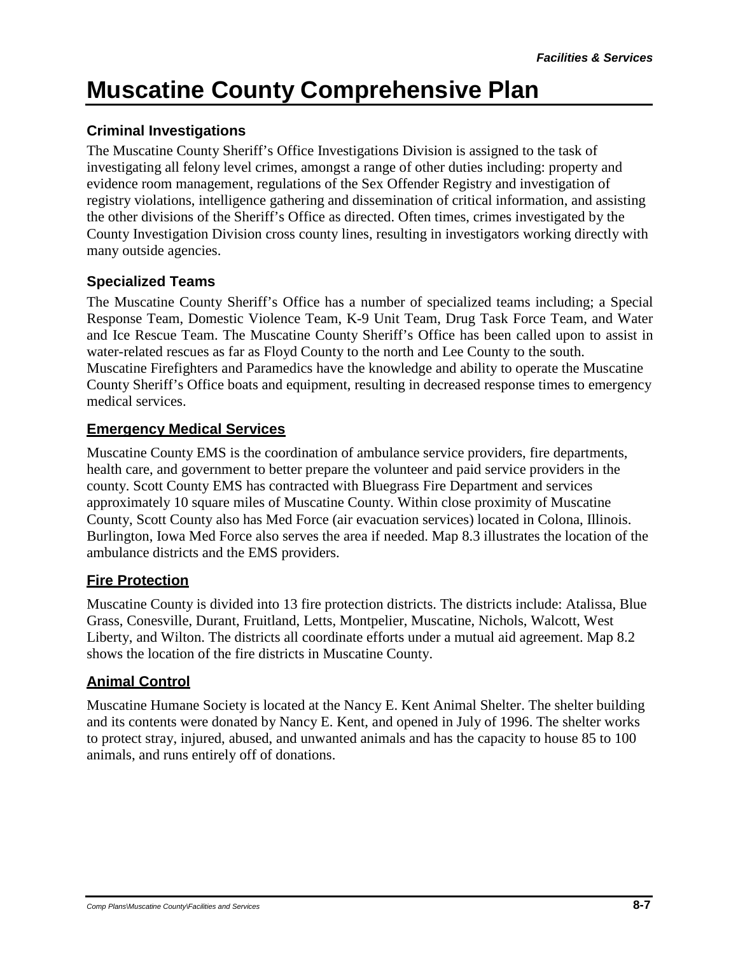#### **Criminal Investigations**

The Muscatine County Sheriff's Office Investigations Division is assigned to the task of investigating all felony level crimes, amongst a range of other duties including: property and evidence room management, regulations of the Sex Offender Registry and investigation of registry violations, intelligence gathering and dissemination of critical information, and assisting the other divisions of the Sheriff's Office as directed. Often times, crimes investigated by the County Investigation Division cross county lines, resulting in investigators working directly with many outside agencies.

#### **Specialized Teams**

The Muscatine County Sheriff's Office has a number of specialized teams including; a Special Response Team, Domestic Violence Team, K-9 Unit Team, Drug Task Force Team, and Water and Ice Rescue Team. The Muscatine County Sheriff's Office has been called upon to assist in water-related rescues as far as Floyd County to the north and Lee County to the south. Muscatine Firefighters and Paramedics have the knowledge and ability to operate the Muscatine County Sheriff's Office boats and equipment, resulting in decreased response times to emergency medical services.

#### **Emergency Medical Services**

Muscatine County EMS is the coordination of ambulance service providers, fire departments, health care, and government to better prepare the volunteer and paid service providers in the county. Scott County EMS has contracted with Bluegrass Fire Department and services approximately 10 square miles of Muscatine County. Within close proximity of Muscatine County, Scott County also has Med Force (air evacuation services) located in Colona, Illinois. Burlington, Iowa Med Force also serves the area if needed. Map 8.3 illustrates the location of the ambulance districts and the EMS providers.

### **Fire Protection**

Muscatine County is divided into 13 fire protection districts. The districts include: Atalissa, Blue Grass, Conesville, Durant, Fruitland, Letts, Montpelier, Muscatine, Nichols, Walcott, West Liberty, and Wilton. The districts all coordinate efforts under a mutual aid agreement. Map 8.2 shows the location of the fire districts in Muscatine County.

### **Animal Control**

Muscatine Humane Society is located at the Nancy E. Kent Animal Shelter. The shelter building and its contents were donated by Nancy E. Kent, and opened in July of 1996. The shelter works to protect stray, injured, abused, and unwanted animals and has the capacity to house 85 to 100 animals, and runs entirely off of donations.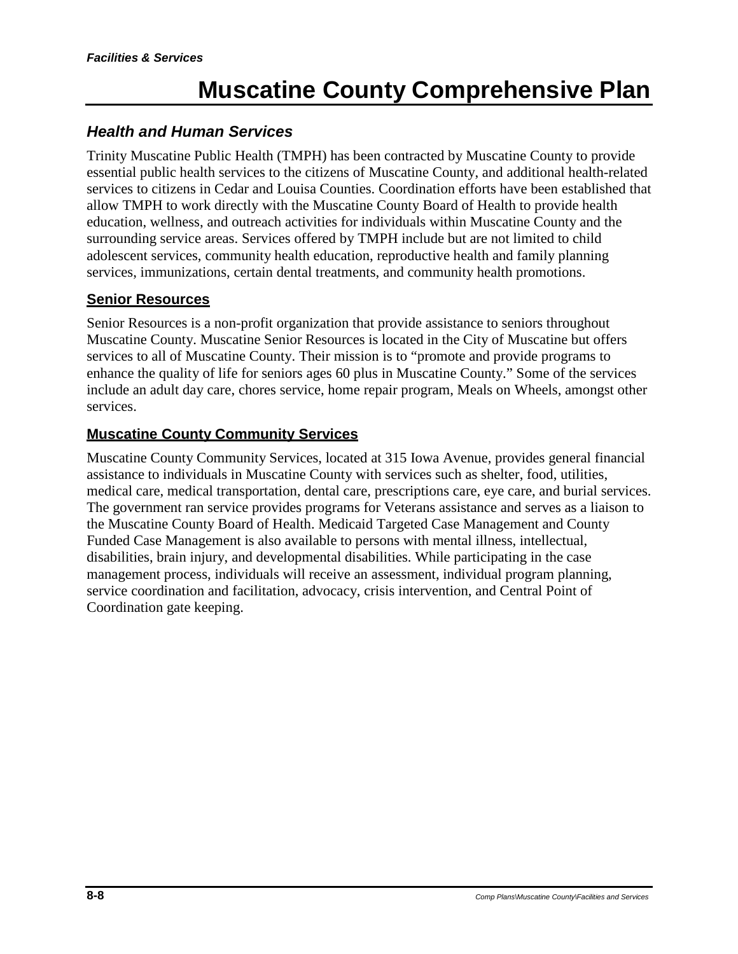### *Health and Human Services*

Trinity Muscatine Public Health (TMPH) has been contracted by Muscatine County to provide essential public health services to the citizens of Muscatine County, and additional health-related services to citizens in Cedar and Louisa Counties. Coordination efforts have been established that allow TMPH to work directly with the Muscatine County Board of Health to provide health education, wellness, and outreach activities for individuals within Muscatine County and the surrounding service areas. Services offered by TMPH include but are not limited to child adolescent services, community health education, reproductive health and family planning services, immunizations, certain dental treatments, and community health promotions.

#### **Senior Resources**

Senior Resources is a non-profit organization that provide assistance to seniors throughout Muscatine County. Muscatine Senior Resources is located in the City of Muscatine but offers services to all of Muscatine County. Their mission is to "promote and provide programs to enhance the quality of life for seniors ages 60 plus in Muscatine County." Some of the services include an adult day care, chores service, home repair program, Meals on Wheels, amongst other services.

#### **Muscatine County Community Services**

Muscatine County Community Services, located at 315 Iowa Avenue, provides general financial assistance to individuals in Muscatine County with services such as shelter, food, utilities, medical care, medical transportation, dental care, prescriptions care, eye care, and burial services. The government ran service provides programs for Veterans assistance and serves as a liaison to the Muscatine County Board of Health. Medicaid Targeted Case Management and County Funded Case Management is also available to persons with mental illness, intellectual, disabilities, brain injury, and developmental disabilities. While participating in the case management process, individuals will receive an assessment, individual program planning, service coordination and facilitation, advocacy, crisis intervention, and Central Point of Coordination gate keeping.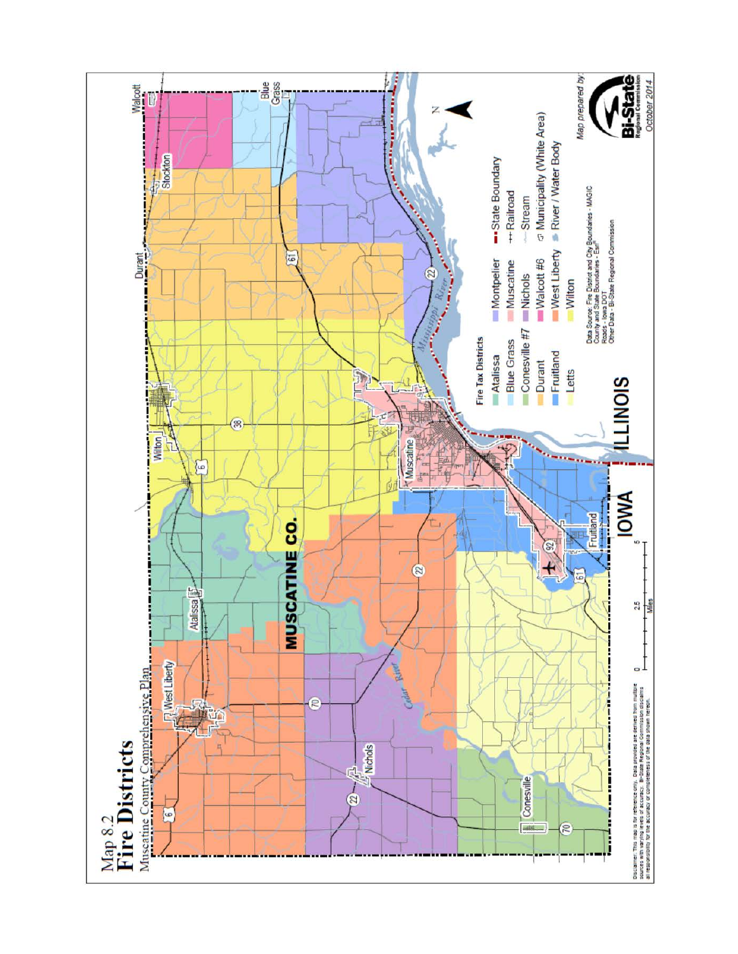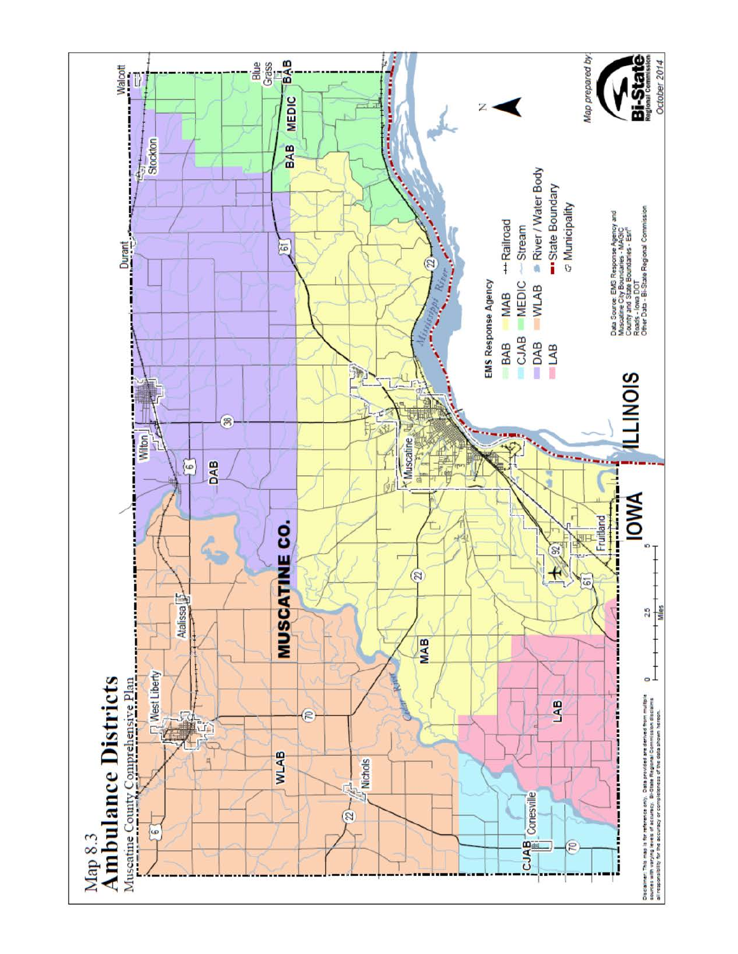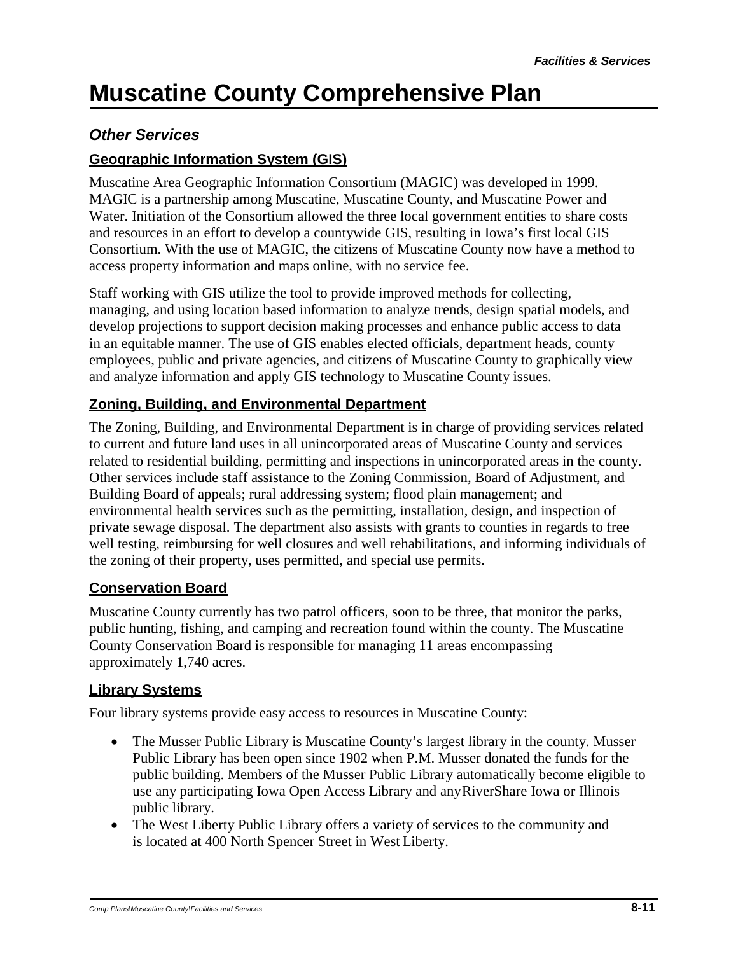### *Other Services*

### **Geographic Information System (GIS)**

Muscatine Area Geographic Information Consortium (MAGIC) was developed in 1999. MAGIC is a partnership among Muscatine, Muscatine County, and Muscatine Power and Water. Initiation of the Consortium allowed the three local government entities to share costs and resources in an effort to develop a countywide GIS, resulting in Iowa's first local GIS Consortium. With the use of MAGIC, the citizens of Muscatine County now have a method to access property information and maps online, with no service fee.

Staff working with GIS utilize the tool to provide improved methods for collecting, managing, and using location based information to analyze trends, design spatial models, and develop projections to support decision making processes and enhance public access to data in an equitable manner. The use of GIS enables elected officials, department heads, county employees, public and private agencies, and citizens of Muscatine County to graphically view and analyze information and apply GIS technology to Muscatine County issues.

#### **Zoning, Building, and Environmental Department**

The Zoning, Building, and Environmental Department is in charge of providing services related to current and future land uses in all unincorporated areas of Muscatine County and services related to residential building, permitting and inspections in unincorporated areas in the county. Other services include staff assistance to the Zoning Commission, Board of Adjustment, and Building Board of appeals; rural addressing system; flood plain management; and environmental health services such as the permitting, installation, design, and inspection of private sewage disposal. The department also assists with grants to counties in regards to free well testing, reimbursing for well closures and well rehabilitations, and informing individuals of the zoning of their property, uses permitted, and special use permits.

#### **Conservation Board**

Muscatine County currently has two patrol officers, soon to be three, that monitor the parks, public hunting, fishing, and camping and recreation found within the county. The Muscatine County Conservation Board is responsible for managing 11 areas encompassing approximately 1,740 acres.

#### **Library Systems**

Four library systems provide easy access to resources in Muscatine County:

- The Musser Public Library is Muscatine County's largest library in the county. Musser Public Library has been open since 1902 when P.M. Musser donated the funds for the public building. Members of the Musser Public Library automatically become eligible to use any participating Iowa Open Access Library and anyRiverShare Iowa or Illinois public library.
- The West Liberty Public Library offers a variety of services to the community and is located at 400 North Spencer Street in West Liberty.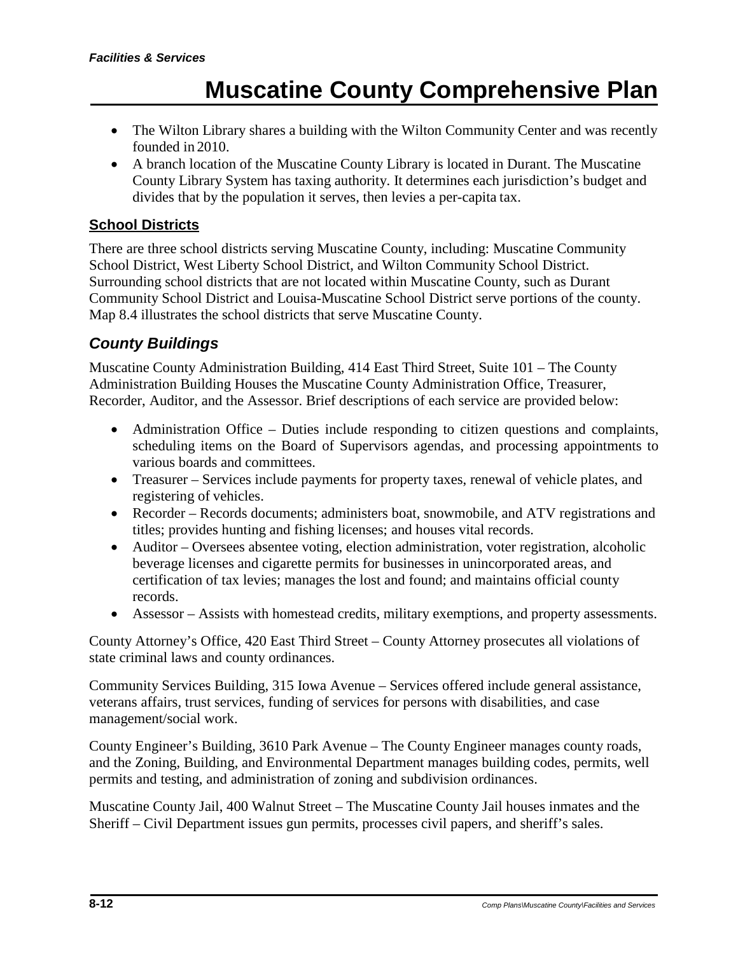- The Wilton Library shares a building with the Wilton Community Center and was recently founded in 2010.
- A branch location of the Muscatine County Library is located in Durant. The Muscatine County Library System has taxing authority. It determines each jurisdiction's budget and divides that by the population it serves, then levies a per-capita tax.

#### **School Districts**

There are three school districts serving Muscatine County, including: Muscatine Community School District, West Liberty School District, and Wilton Community School District. Surrounding school districts that are not located within Muscatine County, such as Durant Community School District and Louisa-Muscatine School District serve portions of the county. Map 8.4 illustrates the school districts that serve Muscatine County.

### *County Buildings*

Muscatine County Administration Building, 414 East Third Street, Suite 101 – The County Administration Building Houses the Muscatine County Administration Office, Treasurer, Recorder, Auditor, and the Assessor. Brief descriptions of each service are provided below:

- Administration Office Duties include responding to citizen questions and complaints, scheduling items on the Board of Supervisors agendas, and processing appointments to various boards and committees.
- Treasurer Services include payments for property taxes, renewal of vehicle plates, and registering of vehicles.
- Recorder Records documents; administers boat, snowmobile, and ATV registrations and titles; provides hunting and fishing licenses; and houses vital records.
- Auditor Oversees absentee voting, election administration, voter registration, alcoholic beverage licenses and cigarette permits for businesses in unincorporated areas, and certification of tax levies; manages the lost and found; and maintains official county records.
- Assessor Assists with homestead credits, military exemptions, and property assessments.

County Attorney's Office, 420 East Third Street – County Attorney prosecutes all violations of state criminal laws and county ordinances.

Community Services Building, 315 Iowa Avenue – Services offered include general assistance, veterans affairs, trust services, funding of services for persons with disabilities, and case management/social work.

County Engineer's Building, 3610 Park Avenue – The County Engineer manages county roads, and the Zoning, Building, and Environmental Department manages building codes, permits, well permits and testing, and administration of zoning and subdivision ordinances.

Muscatine County Jail, 400 Walnut Street – The Muscatine County Jail houses inmates and the Sheriff – Civil Department issues gun permits, processes civil papers, and sheriff's sales.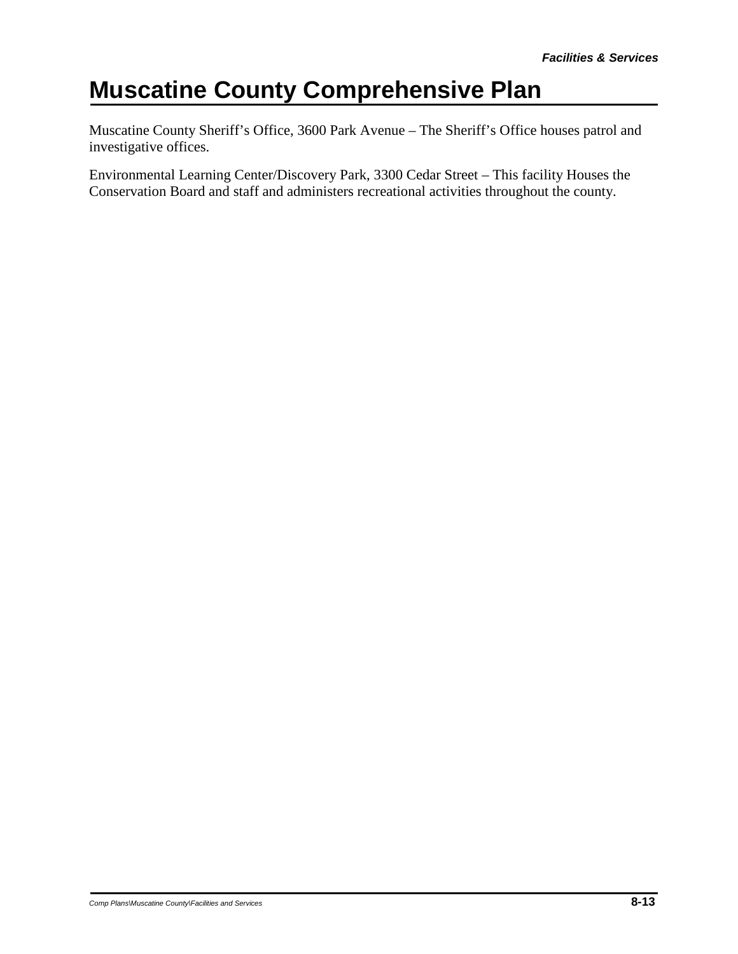Muscatine County Sheriff's Office, 3600 Park Avenue – The Sheriff's Office houses patrol and investigative offices.

Environmental Learning Center/Discovery Park, 3300 Cedar Street – This facility Houses the Conservation Board and staff and administers recreational activities throughout the county.